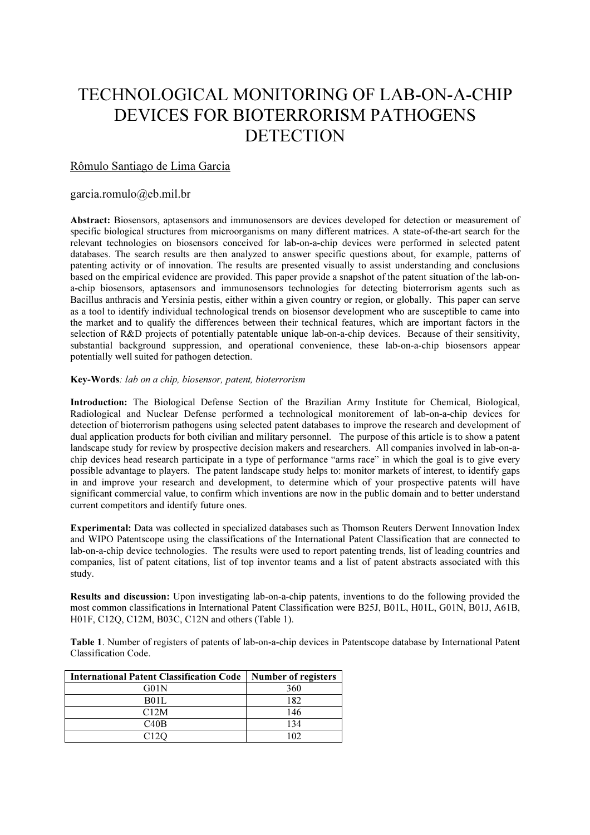# TECHNOLOGICAL MONITORING OF LAB-ON-A-CHIP DEVICES FOR BIOTERRORISM PATHOGENS **DETECTION**

## Rômulo Santiago de Lima Garcia

### garcia.romulo@eb.mil.br

Abstract: Biosensors, aptasensors and immunosensors are devices developed for detection or measurement of specific biological structures from microorganisms on many different matrices. A state-of-the-art search for the relevant technologies on biosensors conceived for lab-on-a-chip devices were performed in selected patent databases. The search results are then analyzed to answer specific questions about, for example, patterns of patenting activity or of innovation. The results are presented visually to assist understanding and conclusions based on the empirical evidence are provided. This paper provide a snapshot of the patent situation of the lab-ona-chip biosensors, aptasensors and immunosensors technologies for detecting bioterrorism agents such as Bacillus anthracis and Yersinia pestis, either within a given country or region, or globally. This paper can serve as a tool to identify individual technological trends on biosensor development who are susceptible to came into the market and to qualify the differences between their technical features, which are important factors in the selection of R&D projects of potentially patentable unique lab-on-a-chip devices. Because of their sensitivity, substantial background suppression, and operational convenience, these lab-on-a-chip biosensors appear potentially well suited for pathogen detection.

#### Key-Words: lab on a chip, biosensor, patent, bioterrorism

Introduction: The Biological Defense Section of the Brazilian Army Institute for Chemical, Biological, Radiological and Nuclear Defense performed a technological monitorement of lab-on-a-chip devices for detection of bioterrorism pathogens using selected patent databases to improve the research and development of dual application products for both civilian and military personnel. The purpose of this article is to show a patent landscape study for review by prospective decision makers and researchers. All companies involved in lab-on-achip devices head research participate in a type of performance "arms race" in which the goal is to give every possible advantage to players. The patent landscape study helps to: monitor markets of interest, to identify gaps in and improve your research and development, to determine which of your prospective patents will have significant commercial value, to confirm which inventions are now in the public domain and to better understand current competitors and identify future ones.

Experimental: Data was collected in specialized databases such as Thomson Reuters Derwent Innovation Index and WIPO Patentscope using the classifications of the International Patent Classification that are connected to lab-on-a-chip device technologies. The results were used to report patenting trends, list of leading countries and companies, list of patent citations, list of top inventor teams and a list of patent abstracts associated with this study.

Results and discussion: Upon investigating lab-on-a-chip patents, inventions to do the following provided the most common classifications in International Patent Classification were B25J, B01L, H01L, G01N, B01J, A61B, H01F, C12Q, C12M, B03C, C12N and others (Table 1).

Table 1. Number of registers of patents of lab-on-a-chip devices in Patentscope database by International Patent Classification Code.

| <b>International Patent Classification Code</b> | Number of registers |
|-------------------------------------------------|---------------------|
| G01N                                            | 360                 |
| <b>B01L</b>                                     | 182                 |
| C12M                                            | 146                 |
| C40B                                            | 134                 |
| 0120                                            | 102                 |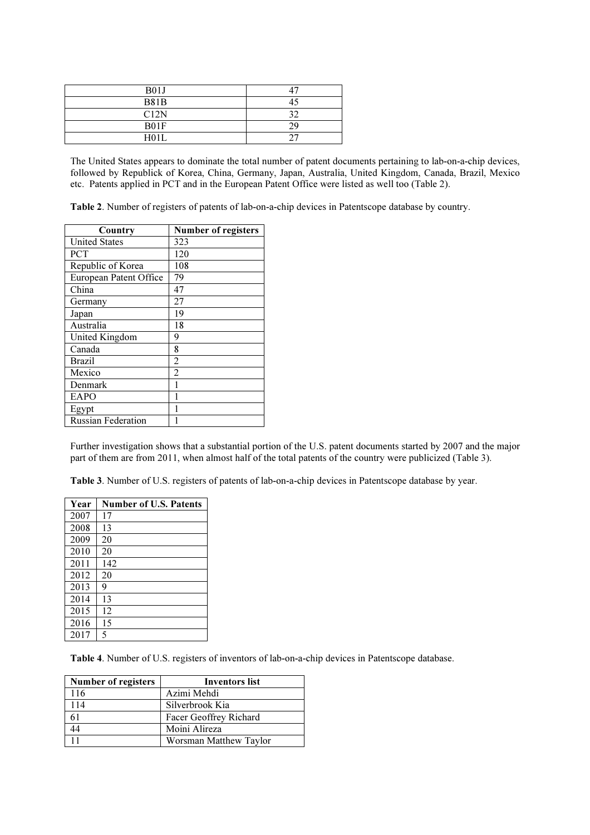| B01J        | $\Delta$ |
|-------------|----------|
| <b>B81B</b> |          |
| C12N        | 30       |
| B01F        | 29       |
| H01L        |          |

The United States appears to dominate the total number of patent documents pertaining to lab-on-a-chip devices, followed by Republick of Korea, China, Germany, Japan, Australia, United Kingdom, Canada, Brazil, Mexico etc. Patents applied in PCT and in the European Patent Office were listed as well too (Table 2).

Table 2. Number of registers of patents of lab-on-a-chip devices in Patentscope database by country.

| Country                   | Number of registers |
|---------------------------|---------------------|
| <b>United States</b>      | 323                 |
| <b>PCT</b>                | 120                 |
| Republic of Korea         | 108                 |
| European Patent Office    | 79                  |
| China                     | 47                  |
| Germany                   | 27                  |
| Japan                     | 19                  |
| Australia                 | 18                  |
| United Kingdom            | 9                   |
| Canada                    | 8                   |
| <b>Brazil</b>             | $\overline{2}$      |
| Mexico                    | $\overline{2}$      |
| Denmark                   |                     |
| EAPO                      |                     |
| Egypt                     |                     |
| <b>Russian Federation</b> |                     |

Further investigation shows that a substantial portion of the U.S. patent documents started by 2007 and the major part of them are from 2011, when almost half of the total patents of the country were publicized (Table 3).

Table 3. Number of U.S. registers of patents of lab-on-a-chip devices in Patentscope database by year.

| Year | <b>Number of U.S. Patents</b> |
|------|-------------------------------|
| 2007 | 17                            |
| 2008 | 13                            |
| 2009 | 20                            |
| 2010 | 20                            |
| 2011 | 142                           |
| 2012 | 20                            |
| 2013 | 9                             |
| 2014 | 13                            |
| 2015 | 12                            |
| 2016 | 15                            |
| 2017 | 5                             |

Table 4. Number of U.S. registers of inventors of lab-on-a-chip devices in Patentscope database.

| Number of registers | <b>Inventors list</b>  |
|---------------------|------------------------|
| 116                 | Azimi Mehdi            |
| 114                 | Silverbrook Kia        |
|                     | Facer Geoffrey Richard |
|                     | Moini Alireza          |
|                     | Worsman Matthew Taylor |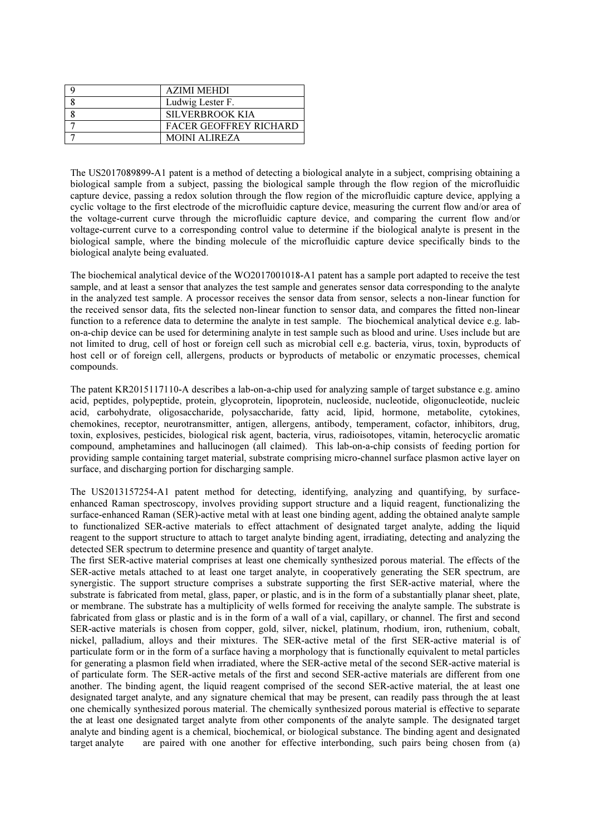| <b>AZIMI MEHDI</b>            |
|-------------------------------|
| Ludwig Lester F.              |
| SILVERBROOK KIA               |
| <b>FACER GEOFFREY RICHARD</b> |
| <b>MOINI ALIREZA</b>          |

The US2017089899-A1 patent is a method of detecting a biological analyte in a subject, comprising obtaining a biological sample from a subject, passing the biological sample through the flow region of the microfluidic capture device, passing a redox solution through the flow region of the microfluidic capture device, applying a cyclic voltage to the first electrode of the microfluidic capture device, measuring the current flow and/or area of the voltage-current curve through the microfluidic capture device, and comparing the current flow and/or voltage-current curve to a corresponding control value to determine if the biological analyte is present in the biological sample, where the binding molecule of the microfluidic capture device specifically binds to the biological analyte being evaluated.

The biochemical analytical device of the WO2017001018-A1 patent has a sample port adapted to receive the test sample, and at least a sensor that analyzes the test sample and generates sensor data corresponding to the analyte in the analyzed test sample. A processor receives the sensor data from sensor, selects a non-linear function for the received sensor data, fits the selected non-linear function to sensor data, and compares the fitted non-linear function to a reference data to determine the analyte in test sample. The biochemical analytical device e.g. labon-a-chip device can be used for determining analyte in test sample such as blood and urine. Uses include but are not limited to drug, cell of host or foreign cell such as microbial cell e.g. bacteria, virus, toxin, byproducts of host cell or of foreign cell, allergens, products or byproducts of metabolic or enzymatic processes, chemical compounds.

The patent KR2015117110-A describes a lab-on-a-chip used for analyzing sample of target substance e.g. amino acid, peptides, polypeptide, protein, glycoprotein, lipoprotein, nucleoside, nucleotide, oligonucleotide, nucleic acid, carbohydrate, oligosaccharide, polysaccharide, fatty acid, lipid, hormone, metabolite, cytokines, chemokines, receptor, neurotransmitter, antigen, allergens, antibody, temperament, cofactor, inhibitors, drug, toxin, explosives, pesticides, biological risk agent, bacteria, virus, radioisotopes, vitamin, heterocyclic aromatic compound, amphetamines and hallucinogen (all claimed). This lab-on-a-chip consists of feeding portion for providing sample containing target material, substrate comprising micro-channel surface plasmon active layer on surface, and discharging portion for discharging sample.

The US2013157254-A1 patent method for detecting, identifying, analyzing and quantifying, by surfaceenhanced Raman spectroscopy, involves providing support structure and a liquid reagent, functionalizing the surface-enhanced Raman (SER)-active metal with at least one binding agent, adding the obtained analyte sample to functionalized SER-active materials to effect attachment of designated target analyte, adding the liquid reagent to the support structure to attach to target analyte binding agent, irradiating, detecting and analyzing the detected SER spectrum to determine presence and quantity of target analyte.

The first SER-active material comprises at least one chemically synthesized porous material. The effects of the SER-active metals attached to at least one target analyte, in cooperatively generating the SER spectrum, are synergistic. The support structure comprises a substrate supporting the first SER-active material, where the substrate is fabricated from metal, glass, paper, or plastic, and is in the form of a substantially planar sheet, plate, or membrane. The substrate has a multiplicity of wells formed for receiving the analyte sample. The substrate is fabricated from glass or plastic and is in the form of a wall of a vial, capillary, or channel. The first and second SER-active materials is chosen from copper, gold, silver, nickel, platinum, rhodium, iron, ruthenium, cobalt, nickel, palladium, alloys and their mixtures. The SER-active metal of the first SER-active material is of particulate form or in the form of a surface having a morphology that is functionally equivalent to metal particles for generating a plasmon field when irradiated, where the SER-active metal of the second SER-active material is of particulate form. The SER-active metals of the first and second SER-active materials are different from one another. The binding agent, the liquid reagent comprised of the second SER-active material, the at least one designated target analyte, and any signature chemical that may be present, can readily pass through the at least one chemically synthesized porous material. The chemically synthesized porous material is effective to separate the at least one designated target analyte from other components of the analyte sample. The designated target analyte and binding agent is a chemical, biochemical, or biological substance. The binding agent and designated target analyte are paired with one another for effective interbonding, such pairs being chosen from (a)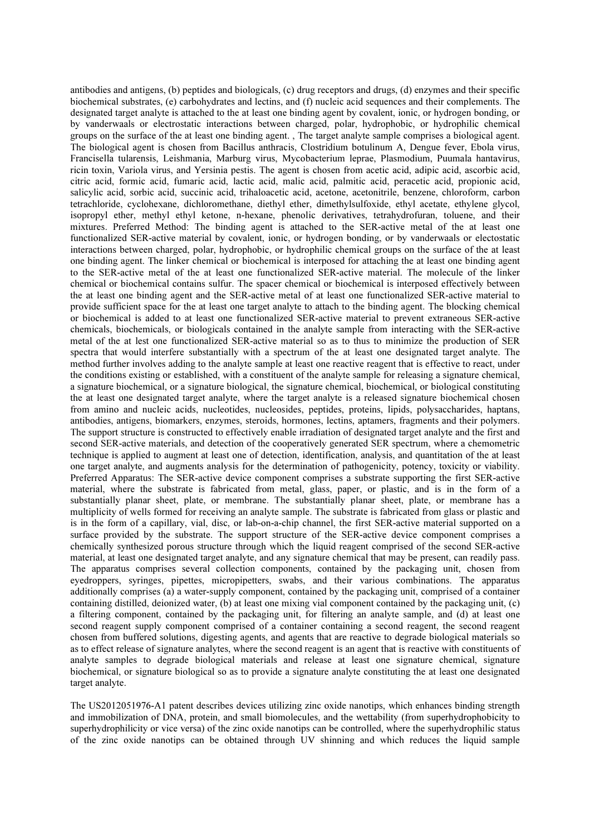antibodies and antigens, (b) peptides and biologicals, (c) drug receptors and drugs, (d) enzymes and their specific biochemical substrates, (e) carbohydrates and lectins, and (f) nucleic acid sequences and their complements. The designated target analyte is attached to the at least one binding agent by covalent, ionic, or hydrogen bonding, or by vanderwaals or electrostatic interactions between charged, polar, hydrophobic, or hydrophilic chemical groups on the surface of the at least one binding agent. , The target analyte sample comprises a biological agent. The biological agent is chosen from Bacillus anthracis, Clostridium botulinum A, Dengue fever, Ebola virus, Francisella tularensis, Leishmania, Marburg virus, Mycobacterium leprae, Plasmodium, Puumala hantavirus, ricin toxin, Variola virus, and Yersinia pestis. The agent is chosen from acetic acid, adipic acid, ascorbic acid, citric acid, formic acid, fumaric acid, lactic acid, malic acid, palmitic acid, peracetic acid, propionic acid, salicylic acid, sorbic acid, succinic acid, trihaloacetic acid, acetone, acetonitrile, benzene, chloroform, carbon tetrachloride, cyclohexane, dichloromethane, diethyl ether, dimethylsulfoxide, ethyl acetate, ethylene glycol, isopropyl ether, methyl ethyl ketone, n-hexane, phenolic derivatives, tetrahydrofuran, toluene, and their mixtures. Preferred Method: The binding agent is attached to the SER-active metal of the at least one functionalized SER-active material by covalent, ionic, or hydrogen bonding, or by vanderwaals or electostatic interactions between charged, polar, hydrophobic, or hydrophilic chemical groups on the surface of the at least one binding agent. The linker chemical or biochemical is interposed for attaching the at least one binding agent to the SER-active metal of the at least one functionalized SER-active material. The molecule of the linker chemical or biochemical contains sulfur. The spacer chemical or biochemical is interposed effectively between the at least one binding agent and the SER-active metal of at least one functionalized SER-active material to provide sufficient space for the at least one target analyte to attach to the binding agent. The blocking chemical or biochemical is added to at least one functionalized SER-active material to prevent extraneous SER-active chemicals, biochemicals, or biologicals contained in the analyte sample from interacting with the SER-active metal of the at lest one functionalized SER-active material so as to thus to minimize the production of SER spectra that would interfere substantially with a spectrum of the at least one designated target analyte. The method further involves adding to the analyte sample at least one reactive reagent that is effective to react, under the conditions existing or established, with a constituent of the analyte sample for releasing a signature chemical, a signature biochemical, or a signature biological, the signature chemical, biochemical, or biological constituting the at least one designated target analyte, where the target analyte is a released signature biochemical chosen from amino and nucleic acids, nucleotides, nucleosides, peptides, proteins, lipids, polysaccharides, haptans, antibodies, antigens, biomarkers, enzymes, steroids, hormones, lectins, aptamers, fragments and their polymers. The support structure is constructed to effectively enable irradiation of designated target analyte and the first and second SER-active materials, and detection of the cooperatively generated SER spectrum, where a chemometric technique is applied to augment at least one of detection, identification, analysis, and quantitation of the at least one target analyte, and augments analysis for the determination of pathogenicity, potency, toxicity or viability. Preferred Apparatus: The SER-active device component comprises a substrate supporting the first SER-active material, where the substrate is fabricated from metal, glass, paper, or plastic, and is in the form of a substantially planar sheet, plate, or membrane. The substantially planar sheet, plate, or membrane has a multiplicity of wells formed for receiving an analyte sample. The substrate is fabricated from glass or plastic and is in the form of a capillary, vial, disc, or lab-on-a-chip channel, the first SER-active material supported on a surface provided by the substrate. The support structure of the SER-active device component comprises a chemically synthesized porous structure through which the liquid reagent comprised of the second SER-active material, at least one designated target analyte, and any signature chemical that may be present, can readily pass. The apparatus comprises several collection components, contained by the packaging unit, chosen from eyedroppers, syringes, pipettes, micropipetters, swabs, and their various combinations. The apparatus additionally comprises (a) a water-supply component, contained by the packaging unit, comprised of a container containing distilled, deionized water, (b) at least one mixing vial component contained by the packaging unit, (c) a filtering component, contained by the packaging unit, for filtering an analyte sample, and (d) at least one second reagent supply component comprised of a container containing a second reagent, the second reagent chosen from buffered solutions, digesting agents, and agents that are reactive to degrade biological materials so as to effect release of signature analytes, where the second reagent is an agent that is reactive with constituents of analyte samples to degrade biological materials and release at least one signature chemical, signature biochemical, or signature biological so as to provide a signature analyte constituting the at least one designated target analyte.

The US2012051976-A1 patent describes devices utilizing zinc oxide nanotips, which enhances binding strength and immobilization of DNA, protein, and small biomolecules, and the wettability (from superhydrophobicity to superhydrophilicity or vice versa) of the zinc oxide nanotips can be controlled, where the superhydrophilic status of the zinc oxide nanotips can be obtained through UV shinning and which reduces the liquid sample